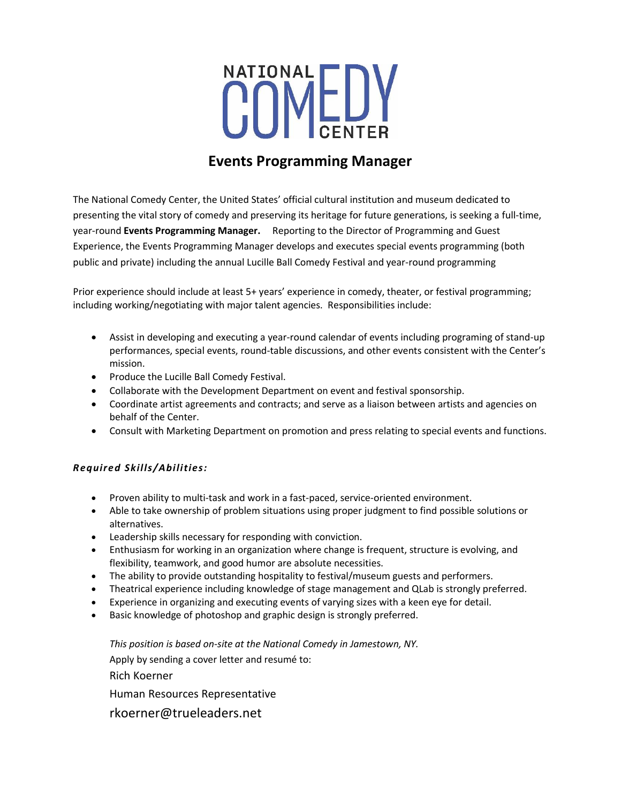

## **Events Programming Manager**

The National Comedy Center, the United States' official cultural institution and museum dedicated to presenting the vital story of comedy and preserving its heritage for future generations, is seeking a full-time, year-round **Events Programming Manager.** Reporting to the Director of Programming and Guest Experience, the Events Programming Manager develops and executes special events programming (both public and private) including the annual Lucille Ball Comedy Festival and year-round programming

Prior experience should include at least 5+ years' experience in comedy, theater, or festival programming; including working/negotiating with major talent agencies. Responsibilities include:

- Assist in developing and executing a year-round calendar of events including programing of stand-up performances, special events, round-table discussions, and other events consistent with the Center's mission.
- Produce the Lucille Ball Comedy Festival.
- Collaborate with the Development Department on event and festival sponsorship.
- Coordinate artist agreements and contracts; and serve as a liaison between artists and agencies on behalf of the Center.
- Consult with Marketing Department on promotion and press relating to special events and functions.

## *Required Skills/Abilities:*

- Proven ability to multi-task and work in a fast-paced, service-oriented environment.
- Able to take ownership of problem situations using proper judgment to find possible solutions or alternatives.
- Leadership skills necessary for responding with conviction.
- Enthusiasm for working in an organization where change is frequent, structure is evolving, and flexibility, teamwork, and good humor are absolute necessities.
- The ability to provide outstanding hospitality to festival/museum guests and performers.
- Theatrical experience including knowledge of stage management and QLab is strongly preferred.
- Experience in organizing and executing events of varying sizes with a keen eye for detail.
- Basic knowledge of photoshop and graphic design is strongly preferred.

*This position is based on-site at the National Comedy in Jamestown, NY.*

Apply by sending a cover letter and resumé to:

Rich Koerner

Human Resources Representative

rkoerner@trueleaders.net